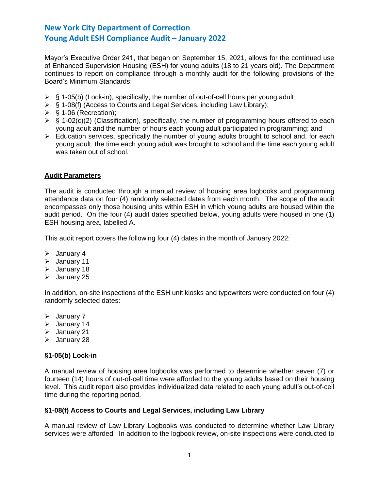Mayor's Executive Order 241, that began on September 15, 2021, allows for the continued use of Enhanced Supervision Housing (ESH) for young adults (18 to 21 years old). The Department continues to report on compliance through a monthly audit for the following provisions of the Board's Minimum Standards:

- $\triangleright$  § 1-05(b) (Lock-in), specifically, the number of out-of-cell hours per young adult;
- ➢ § 1-08(f) (Access to Courts and Legal Services, including Law Library);
- $\triangleright$  § 1-06 (Recreation);
- $\triangleright$  § 1-02(c)(2) (Classification), specifically, the number of programming hours offered to each young adult and the number of hours each young adult participated in programming; and
- ➢ Education services, specifically the number of young adults brought to school and, for each young adult, the time each young adult was brought to school and the time each young adult was taken out of school.

## **Audit Parameters**

The audit is conducted through a manual review of housing area logbooks and programming attendance data on four (4) randomly selected dates from each month. The scope of the audit encompasses only those housing units within ESH in which young adults are housed within the audit period. On the four (4) audit dates specified below, young adults were housed in one (1) ESH housing area, labelled A.

This audit report covers the following four (4) dates in the month of January 2022:

- ➢ January 4
- ➢ January 11
- ➢ January 18
- ➢ January 25

In addition, on-site inspections of the ESH unit kiosks and typewriters were conducted on four (4) randomly selected dates:

- ➢ January 7
- ➢ January 14
- ➢ January 21
- ➢ January 28

## **§1-05(b) Lock-in**

A manual review of housing area logbooks was performed to determine whether seven (7) or fourteen (14) hours of out-of-cell time were afforded to the young adults based on their housing level. This audit report also provides individualized data related to each young adult's out-of-cell time during the reporting period.

### **§1-08(f) Access to Courts and Legal Services, including Law Library**

A manual review of Law Library Logbooks was conducted to determine whether Law Library services were afforded. In addition to the logbook review, on-site inspections were conducted to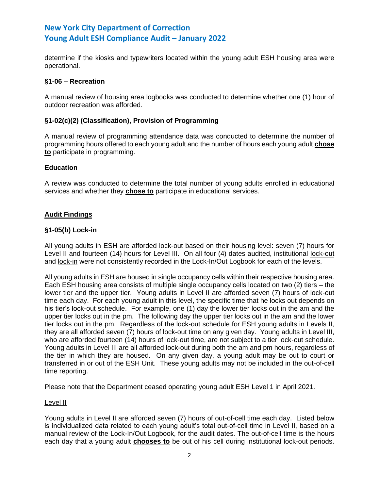determine if the kiosks and typewriters located within the young adult ESH housing area were operational.

## **§1-06 – Recreation**

A manual review of housing area logbooks was conducted to determine whether one (1) hour of outdoor recreation was afforded.

## **§1-02(c)(2) (Classification), Provision of Programming**

A manual review of programming attendance data was conducted to determine the number of programming hours offered to each young adult and the number of hours each young adult **chose to** participate in programming.

## **Education**

A review was conducted to determine the total number of young adults enrolled in educational services and whether they **chose to** participate in educational services.

## **Audit Findings**

### **§1-05(b) Lock-in**

All young adults in ESH are afforded lock-out based on their housing level: seven (7) hours for Level II and fourteen (14) hours for Level III. On all four (4) dates audited, institutional lock-out and lock-in were not consistently recorded in the Lock-In/Out Logbook for each of the levels.

All young adults in ESH are housed in single occupancy cells within their respective housing area. Each ESH housing area consists of multiple single occupancy cells located on two (2) tiers – the lower tier and the upper tier. Young adults in Level II are afforded seven (7) hours of lock-out time each day. For each young adult in this level, the specific time that he locks out depends on his tier's lock-out schedule. For example, one (1) day the lower tier locks out in the am and the upper tier locks out in the pm. The following day the upper tier locks out in the am and the lower tier locks out in the pm. Regardless of the lock-out schedule for ESH young adults in Levels II, they are all afforded seven (7) hours of lock-out time on any given day. Young adults in Level III, who are afforded fourteen (14) hours of lock-out time, are not subject to a tier lock-out schedule. Young adults in Level III are all afforded lock-out during both the am and pm hours, regardless of the tier in which they are housed. On any given day, a young adult may be out to court or transferred in or out of the ESH Unit. These young adults may not be included in the out-of-cell time reporting.

Please note that the Department ceased operating young adult ESH Level 1 in April 2021.

### Level II

Young adults in Level II are afforded seven (7) hours of out-of-cell time each day. Listed below is individualized data related to each young adult's total out-of-cell time in Level II, based on a manual review of the Lock-In/Out Logbook, for the audit dates. The out-of-cell time is the hours each day that a young adult **chooses to** be out of his cell during institutional lock-out periods.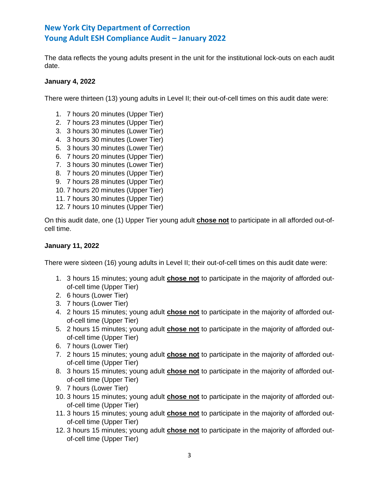The data reflects the young adults present in the unit for the institutional lock-outs on each audit date.

## **January 4, 2022**

There were thirteen (13) young adults in Level II; their out-of-cell times on this audit date were:

- 1. 7 hours 20 minutes (Upper Tier)
- 2. 7 hours 23 minutes (Upper Tier)
- 3. 3 hours 30 minutes (Lower Tier)
- 4. 3 hours 30 minutes (Lower Tier)
- 5. 3 hours 30 minutes (Lower Tier)
- 6. 7 hours 20 minutes (Upper Tier)
- 7. 3 hours 30 minutes (Lower Tier)
- 8. 7 hours 20 minutes (Upper Tier)
- 9. 7 hours 28 minutes (Upper Tier)
- 10. 7 hours 20 minutes (Upper Tier)
- 11. 7 hours 30 minutes (Upper Tier)
- 12. 7 hours 10 minutes (Upper Tier)

On this audit date, one (1) Upper Tier young adult **chose not** to participate in all afforded out-ofcell time.

## **January 11, 2022**

There were sixteen (16) young adults in Level II; their out-of-cell times on this audit date were:

- 1. 3 hours 15 minutes; young adult **chose not** to participate in the majority of afforded outof-cell time (Upper Tier)
- 2. 6 hours (Lower Tier)
- 3. 7 hours (Lower Tier)
- 4. 2 hours 15 minutes; young adult **chose not** to participate in the majority of afforded outof-cell time (Upper Tier)
- 5. 2 hours 15 minutes; young adult **chose not** to participate in the majority of afforded outof-cell time (Upper Tier)
- 6. 7 hours (Lower Tier)
- 7. 2 hours 15 minutes; young adult **chose not** to participate in the majority of afforded outof-cell time (Upper Tier)
- 8. 3 hours 15 minutes; young adult **chose not** to participate in the majority of afforded outof-cell time (Upper Tier)
- 9. 7 hours (Lower Tier)
- 10. 3 hours 15 minutes; young adult **chose not** to participate in the majority of afforded outof-cell time (Upper Tier)
- 11. 3 hours 15 minutes; young adult **chose not** to participate in the majority of afforded outof-cell time (Upper Tier)
- 12. 3 hours 15 minutes; young adult **chose not** to participate in the majority of afforded outof-cell time (Upper Tier)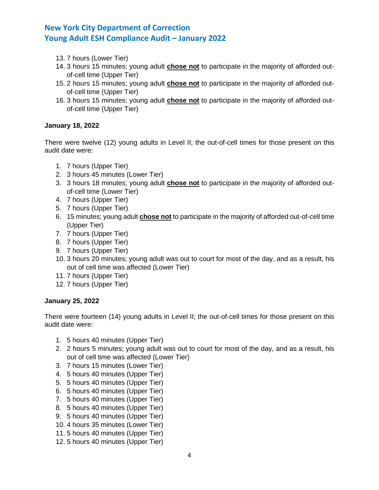- 13. 7 hours (Lower Tier)
- 14. 3 hours 15 minutes; young adult **chose not** to participate in the majority of afforded outof-cell time (Upper Tier)
- 15. 2 hours 15 minutes; young adult **chose not** to participate in the majority of afforded outof-cell time (Upper Tier)
- 16. 3 hours 15 minutes; young adult **chose not** to participate in the majority of afforded outof-cell time (Upper Tier)

## **January 18, 2022**

There were twelve (12) young adults in Level II; the out-of-cell times for those present on this audit date were:

- 1. 7 hours (Upper Tier)
- 2. 3 hours 45 minutes (Lower Tier)
- 3. 3 hours 18 minutes; young adult **chose not** to participate in the majority of afforded outof-cell time (Lower Tier)
- 4. 7 hours (Upper Tier)
- 5. 7 hours (Upper Tier)
- 6. 15 minutes; young adult **chose not** to participate in the majority of afforded out-of-cell time (Upper Tier)
- 7. 7 hours (Upper Tier)
- 8. 7 hours (Upper Tier)
- 9. 7 hours (Upper Tier)
- 10. 3 hours 20 minutes; young adult was out to court for most of the day, and as a result, his out of cell time was affected (Lower Tier)
- 11. 7 hours (Upper Tier)
- 12. 7 hours (Upper Tier)

## **January 25, 2022**

There were fourteen (14) young adults in Level II; the out-of-cell times for those present on this audit date were:

- 1. 5 hours 40 minutes (Upper Tier)
- 2. 2 hours 5 minutes; young adult was out to court for most of the day, and as a result, his out of cell time was affected (Lower Tier)
- 3. 7 hours 15 minutes (Lower Tier)
- 4. 5 hours 40 minutes (Upper Tier)
- 5. 5 hours 40 minutes (Upper Tier)
- 6. 5 hours 40 minutes (Upper Tier)
- 7. 5 hours 40 minutes (Upper Tier)
- 8. 5 hours 40 minutes (Upper Tier)
- 9. 5 hours 40 minutes (Upper Tier)
- 10. 4 hours 35 minutes (Lower Tier)
- 11. 5 hours 40 minutes (Upper Tier)
- 12. 5 hours 40 minutes (Upper Tier)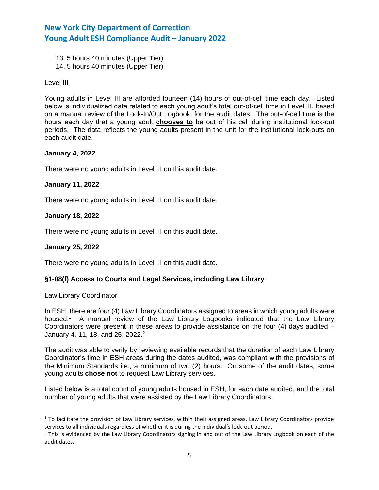- 13. 5 hours 40 minutes (Upper Tier)
- 14. 5 hours 40 minutes (Upper Tier)

### Level III

Young adults in Level III are afforded fourteen (14) hours of out-of-cell time each day. Listed below is individualized data related to each young adult's total out-of-cell time in Level III, based on a manual review of the Lock-In/Out Logbook, for the audit dates. The out-of-cell time is the hours each day that a young adult **chooses to** be out of his cell during institutional lock-out periods. The data reflects the young adults present in the unit for the institutional lock-outs on each audit date.

## **January 4, 2022**

There were no young adults in Level III on this audit date.

## **January 11, 2022**

There were no young adults in Level III on this audit date.

## **January 18, 2022**

There were no young adults in Level III on this audit date.

### **January 25, 2022**

There were no young adults in Level III on this audit date.

## **§1-08(f) Access to Courts and Legal Services, including Law Library**

### Law Library Coordinator

In ESH, there are four (4) Law Library Coordinators assigned to areas in which young adults were housed.<sup>1</sup> A manual review of the Law Library Logbooks indicated that the Law Library Coordinators were present in these areas to provide assistance on the four  $(4)$  days audited  $-$ January 4, 11, 18, and 25, 2022.<sup>2</sup>

The audit was able to verify by reviewing available records that the duration of each Law Library Coordinator's time in ESH areas during the dates audited, was compliant with the provisions of the Minimum Standards i.e., a minimum of two (2) hours. On some of the audit dates, some young adults **chose not** to request Law Library services.

Listed below is a total count of young adults housed in ESH, for each date audited, and the total number of young adults that were assisted by the Law Library Coordinators.

 $1$  To facilitate the provision of Law Library services, within their assigned areas, Law Library Coordinators provide services to all individuals regardless of whether it is during the individual's lock-out period.

 $<sup>2</sup>$  This is evidenced by the Law Library Coordinators signing in and out of the Law Library Logbook on each of the</sup> audit dates.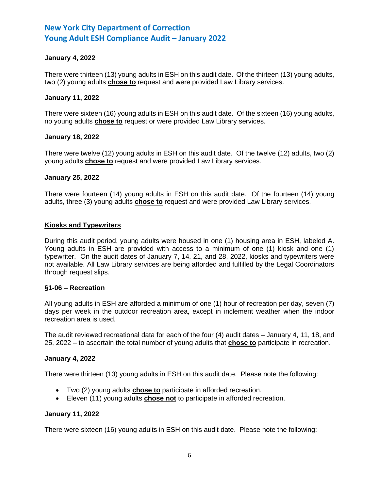## **January 4, 2022**

There were thirteen (13) young adults in ESH on this audit date. Of the thirteen (13) young adults, two (2) young adults **chose to** request and were provided Law Library services.

### **January 11, 2022**

There were sixteen (16) young adults in ESH on this audit date. Of the sixteen (16) young adults, no young adults **chose to** request or were provided Law Library services.

## **January 18, 2022**

There were twelve (12) young adults in ESH on this audit date. Of the twelve (12) adults, two (2) young adults **chose to** request and were provided Law Library services.

## **January 25, 2022**

There were fourteen (14) young adults in ESH on this audit date. Of the fourteen (14) young adults, three (3) young adults **chose to** request and were provided Law Library services.

## **Kiosks and Typewriters**

During this audit period, young adults were housed in one (1) housing area in ESH, labeled A. Young adults in ESH are provided with access to a minimum of one (1) kiosk and one (1) typewriter. On the audit dates of January 7, 14, 21, and 28, 2022, kiosks and typewriters were not available. All Law Library services are being afforded and fulfilled by the Legal Coordinators through request slips.

### **§1-06 – Recreation**

All young adults in ESH are afforded a minimum of one (1) hour of recreation per day, seven (7) days per week in the outdoor recreation area, except in inclement weather when the indoor recreation area is used.

The audit reviewed recreational data for each of the four (4) audit dates – January 4, 11, 18, and 25, 2022 – to ascertain the total number of young adults that **chose to** participate in recreation.

### **January 4, 2022**

There were thirteen (13) young adults in ESH on this audit date. Please note the following:

- Two (2) young adults **chose to** participate in afforded recreation.
- Eleven (11) young adults **chose not** to participate in afforded recreation.

### **January 11, 2022**

There were sixteen (16) young adults in ESH on this audit date. Please note the following: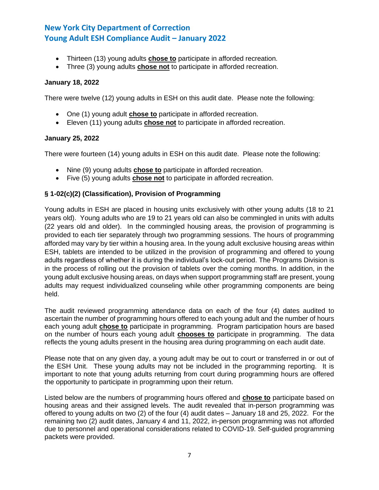- Thirteen (13) young adults **chose to** participate in afforded recreation.
- Three (3) young adults **chose not** to participate in afforded recreation.

## **January 18, 2022**

There were twelve (12) young adults in ESH on this audit date. Please note the following:

- One (1) young adult **chose to** participate in afforded recreation.
- Eleven (11) young adults **chose not** to participate in afforded recreation.

## **January 25, 2022**

There were fourteen (14) young adults in ESH on this audit date. Please note the following:

- Nine (9) young adults **chose to** participate in afforded recreation.
- Five (5) young adults **chose not** to participate in afforded recreation.

## **§ 1-02(c)(2) (Classification), Provision of Programming**

Young adults in ESH are placed in housing units exclusively with other young adults (18 to 21 years old). Young adults who are 19 to 21 years old can also be commingled in units with adults (22 years old and older). In the commingled housing areas, the provision of programming is provided to each tier separately through two programming sessions. The hours of programming afforded may vary by tier within a housing area. In the young adult exclusive housing areas within ESH, tablets are intended to be utilized in the provision of programming and offered to young adults regardless of whether it is during the individual's lock-out period. The Programs Division is in the process of rolling out the provision of tablets over the coming months. In addition, in the young adult exclusive housing areas, on days when support programming staff are present, young adults may request individualized counseling while other programming components are being held.

The audit reviewed programming attendance data on each of the four (4) dates audited to ascertain the number of programming hours offered to each young adult and the number of hours each young adult **chose to** participate in programming. Program participation hours are based on the number of hours each young adult **chooses to** participate in programming. The data reflects the young adults present in the housing area during programming on each audit date.

Please note that on any given day, a young adult may be out to court or transferred in or out of the ESH Unit. These young adults may not be included in the programming reporting. It is important to note that young adults returning from court during programming hours are offered the opportunity to participate in programming upon their return.

Listed below are the numbers of programming hours offered and **chose to** participate based on housing areas and their assigned levels. The audit revealed that in-person programming was offered to young adults on two (2) of the four (4) audit dates – January 18 and 25, 2022. For the remaining two (2) audit dates, January 4 and 11, 2022, in-person programming was not afforded due to personnel and operational considerations related to COVID-19. Self-guided programming packets were provided.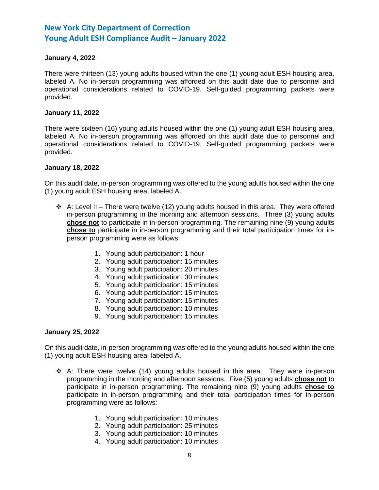## **January 4, 2022**

There were thirteen (13) young adults housed within the one (1) young adult ESH housing area, labeled A. No in-person programming was afforded on this audit date due to personnel and operational considerations related to COVID-19. Self-guided programming packets were provided.

### **January 11, 2022**

There were sixteen (16) young adults housed within the one (1) young adult ESH housing area, labeled A. No in-person programming was afforded on this audit date due to personnel and operational considerations related to COVID-19. Self-guided programming packets were provided.

## **January 18, 2022**

On this audit date, in-person programming was offered to the young adults housed within the one (1) young adult ESH housing area, labeled A.

- $\div$  A: Level II There were twelve (12) young adults housed in this area. They were offered in-person programming in the morning and afternoon sessions. Three (3) young adults **chose not** to participate in in-person programming. The remaining nine (9) young adults **chose to** participate in in-person programming and their total participation times for inperson programming were as follows:
	- 1. Young adult participation: 1 hour
	- 2. Young adult participation: 15 minutes
	- 3. Young adult participation: 20 minutes
	- 4. Young adult participation: 30 minutes
	- 5. Young adult participation: 15 minutes
	- 6. Young adult participation: 15 minutes
	- 7. Young adult participation: 15 minutes
	- 8. Young adult participation: 10 minutes
	- 9. Young adult participation: 15 minutes

### **January 25, 2022**

On this audit date, in-person programming was offered to the young adults housed within the one (1) young adult ESH housing area, labeled A.

- $\div$  A: There were twelve (14) young adults housed in this area. They were in-person programming in the morning and afternoon sessions. Five (5) young adults **chose not** to participate in in-person programming. The remaining nine (9) young adults **chose to** participate in in-person programming and their total participation times for in-person programming were as follows:
	- 1. Young adult participation: 10 minutes
	- 2. Young adult participation: 25 minutes
	- 3. Young adult participation: 10 minutes
	- 4. Young adult participation: 10 minutes